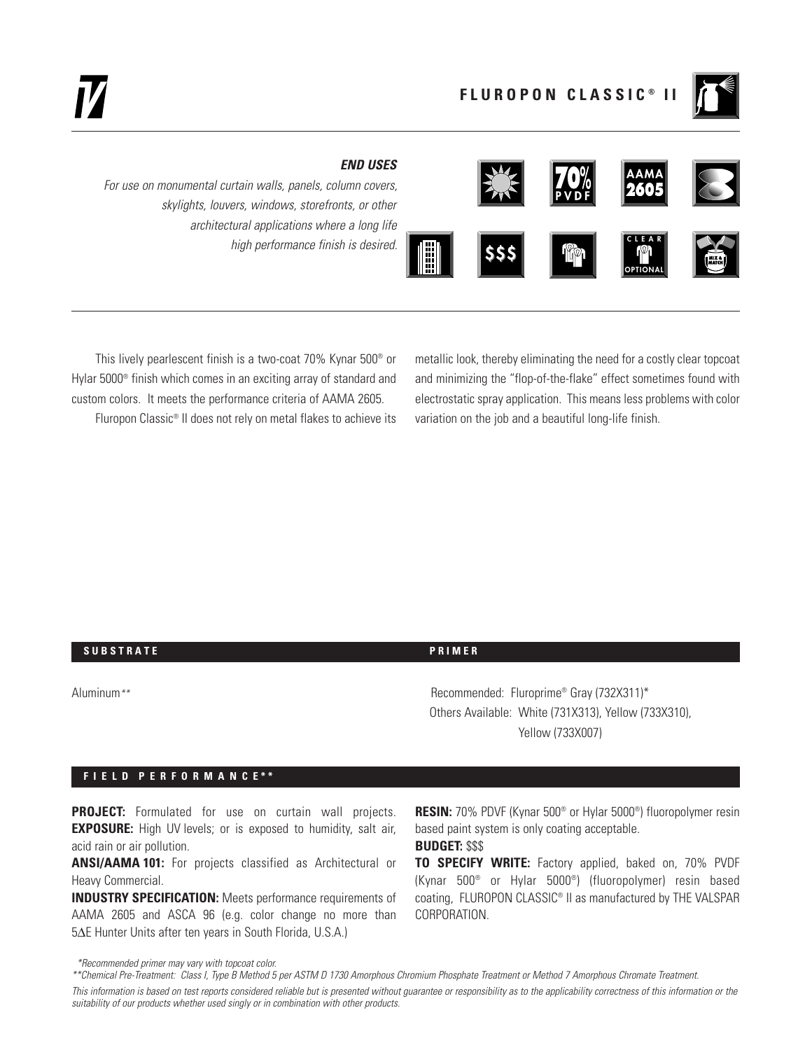## *END USES*

*For use on monumental curtain walls, panels, column covers, skylights, louvers, windows, storefronts, or other architectural applications where a long life high performance finish is desired.* **\$\$\$**



This lively pearlescent finish is a two-coat 70% Kynar 500® or Hylar 5000® finish which comes in an exciting array of standard and custom colors. It meets the performance criteria of AAMA 2605.

Fluropon Classic® II does not rely on metal flakes to achieve its

metallic look, thereby eliminating the need for a costly clear topcoat and minimizing the "flop-of-the-flake" effect sometimes found with electrostatic spray application. This means less problems with color variation on the job and a beautiful long-life finish.

## **SUBSTRATE** PRIMER

Aluminum*\*\** Recommended: Fluroprime® Gray (732X311)\* Others Available: White (731X313), Yellow (733X310), Yellow (733X007)

## **F I E L D P E R F O R M A N C E \* \***

**PROJECT:** Formulated for use on curtain wall projects. **EXPOSURE:** High UV levels; or is exposed to humidity, salt air, acid rain or air pollution.

**ANSI/AAMA 101:** For projects classified as Architectural or Heavy Commercial.

**INDUSTRY SPECIFICATION:** Meets performance requirements of AAMA 2605 and ASCA 96 (e.g. color change no more than 5∆E Hunter Units after ten years in South Florida, U.S.A.)

**RESIN:** 70% PDVF (Kynar 500® or Hylar 5000®) fluoropolymer resin based paint system is only coating acceptable.

# **BUDGET:** \$\$\$

**TO SPECIFY WRITE:** Factory applied, baked on, 70% PVDF (Kynar 500® or Hylar 5000®) (fluoropolymer) resin based coating, FLUROPON CLASSIC® II as manufactured by THE VALSPAR CORPORATION.

*\*Recommended primer may vary with topcoat color.*

*This information is based on test reports considered reliable but is presented without guarantee or responsibility as to the applicability correctness of this information or the suitability of our products whether used singly or in combination with other products.*

*<sup>\*\*</sup>Chemical Pre-Treatment: Class I, Type B Method 5 per ASTM D 1730 Amorphous Chromium Phosphate Treatment or Method 7 Amorphous Chromate Treatment.*